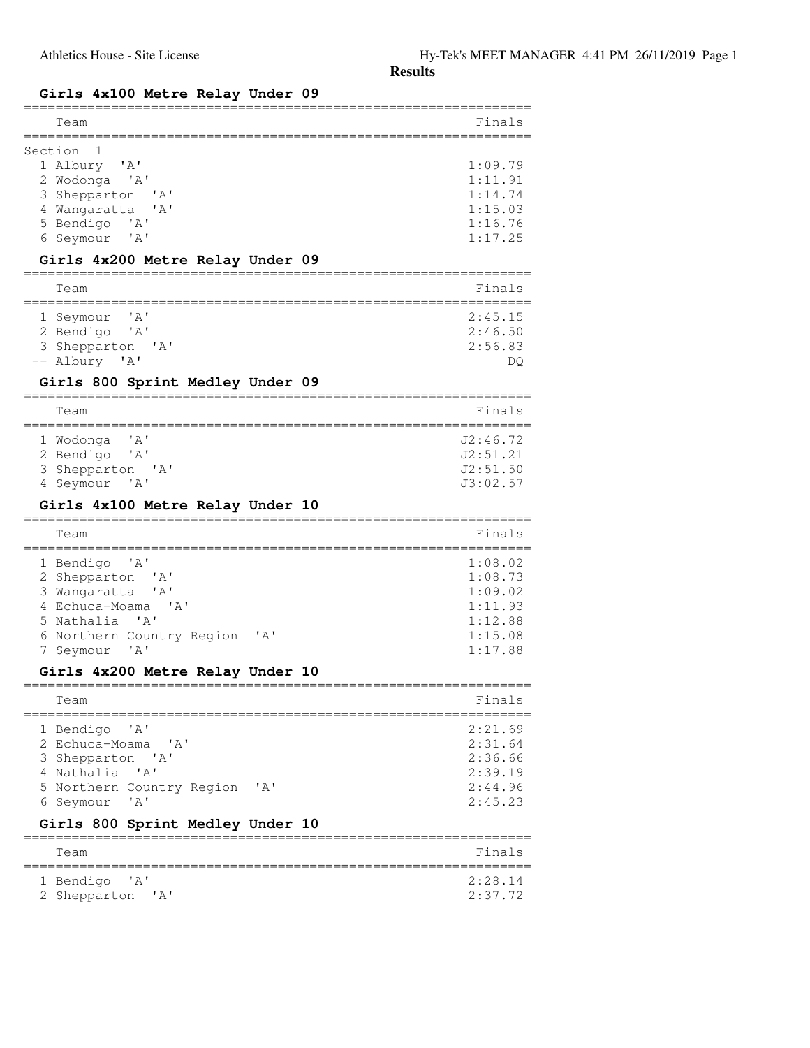#### **Girls 4x100 Metre Relay Under 09**

| Team                                                                                                                                                                                                                                                   | Finals                                                                    |
|--------------------------------------------------------------------------------------------------------------------------------------------------------------------------------------------------------------------------------------------------------|---------------------------------------------------------------------------|
| Section<br>ı<br>1 Albury<br>' A'<br>2 Wodonga 'A'<br>3 Shepparton<br>$^{\prime}$ A $^{\prime}$<br>4 Wangaratta<br>A'<br>5 Bendigo<br>' A'<br>6 Seymour<br>$^{\prime}$ A $^{\prime}$<br>Girls 4x200 Metre Relay Under 09                                | 1:09.79<br>1:11.91<br>1:14.74<br>1:15.03<br>1:16.76<br>1:17.25            |
| Team                                                                                                                                                                                                                                                   | Finals                                                                    |
| ' A'<br>1 Seymour<br>2 Bendigo<br>$^{\prime}$ A $^{\prime}$<br>3 Shepparton 'A'<br>-- Albury 'A'<br>Girls 800 Sprint Medley Under 09                                                                                                                   | 2:45.15<br>2:46.50<br>2:56.83<br>DQ                                       |
| Team                                                                                                                                                                                                                                                   | Finals                                                                    |
| 1 Wodonga<br>' A'<br>2 Bendigo<br>$^{\prime}$ A $^{\prime}$<br>3 Shepparton 'A'<br>4 Seymour<br>$^{\prime}$ A $^{\prime}$<br>Girls 4x100 Metre Relay Under 10                                                                                          | J2:46.72<br>J2:51.21<br>J2:51.50<br>J3:02.57                              |
| Team                                                                                                                                                                                                                                                   | Finals                                                                    |
| 1 Bendigo<br>$^{\prime}$ A $^{\prime}$<br>2 Shepparton<br>$^{\prime}$ A $^{\prime}$<br>3 Wangaratta<br>$\mathsf{A}$<br>4 Echuca-Moama<br>$\mathsf{A}$<br>5 Nathalia 'A'<br>6 Northern Country Region<br>' A'<br>$^{\prime}$ A $^{\prime}$<br>7 Seymour | 1:08.02<br>1:08.73<br>1:09.02<br>1:11.93<br>1:12.88<br>1:15.08<br>1:17.88 |
| Girls 4x200 Metre Relay Under 10                                                                                                                                                                                                                       |                                                                           |
| Team                                                                                                                                                                                                                                                   | Finals                                                                    |
| 1 Bendigo<br>' a '<br>2 Echuca-Moama<br>$^{\prime}$ A $^{\prime}$<br>3 Shepparton 'A'<br>' A'<br>4 Nathalia<br>5 Northern Country Region<br>' A'<br>' A'<br>6 Seymour                                                                                  | 2:21.69<br>2:31.64<br>2:36.66<br>2:39.19<br>2:44.96<br>2:45.23            |
| Girls 800 Sprint Medley Under 10                                                                                                                                                                                                                       |                                                                           |
| Team                                                                                                                                                                                                                                                   | Finals                                                                    |
| 1 Bendigo<br>' A'<br>2 Shepparton<br>$'$ A $'$                                                                                                                                                                                                         | 2:28.14<br>2:37.72                                                        |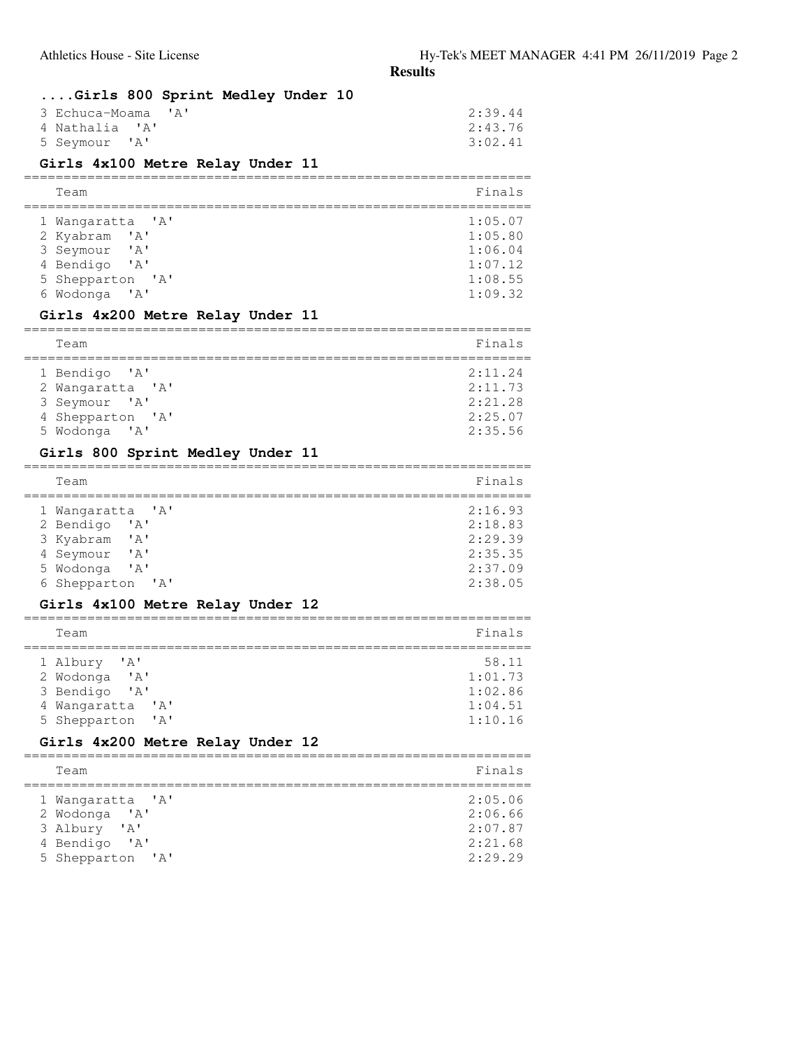### **....Girls 800 Sprint Medley Under 10**

| 3 Echuca-Moama 'A' | 2:39.44 |
|--------------------|---------|
| 4 Nathalia 'A'     | 2:43.76 |
| 5 Seymour 'A'      | 3:02.41 |

# **Girls 4x100 Metre Relay Under 11**

| Team                                                                                                     | Finals                                                         |
|----------------------------------------------------------------------------------------------------------|----------------------------------------------------------------|
| 1 Wangaratta 'A'<br>2 Kyabram 'A'<br>3 Seymour 'A'<br>4 Bendigo 'A'<br>5 Shepparton 'A'<br>6 Wodonga 'A' | 1:05.07<br>1:05.80<br>1:06.04<br>1:07.12<br>1:08.55<br>1:09.32 |

# **Girls 4x200 Metre Relay Under 11**

| Team             | Finals  |
|------------------|---------|
| 1 Bendigo 'A'    | 2:11.24 |
| 2 Wangaratta 'A' | 2:11.73 |
| 3 Seymour 'A'    | 2:21.28 |
| 4 Shepparton 'A' | 2:25.07 |
| 5 Wodonga 'A'    | 2:35.56 |

# **Girls 800 Sprint Medley Under 11**

| Team                                   | Finals  |
|----------------------------------------|---------|
| 1 Wangaratta 'A'                       | 2:16.93 |
| 2 Bendigo<br>$^{\prime}$ A $^{\prime}$ | 2:18.83 |
| 3 Kyabram<br>$\mathsf{A}$              | 2:29.39 |
| 4 Seymour<br>$\mathsf{A}$              | 2:35.35 |
| 5 Wodonga<br>$^{\prime}$ A $^{\prime}$ | 2:37.09 |
| 6 Shepparton 'A'                       | 2:38.05 |

### **Girls 4x100 Metre Relay Under 12**

| Team                                                                                                                                         | Finals                                            |
|----------------------------------------------------------------------------------------------------------------------------------------------|---------------------------------------------------|
| 1 Albury 'A'<br>2 Wodonga<br>$^{\prime}$ A $^{\prime}$<br>3 Bendigo<br>$^{\prime}$ A $^{\prime}$<br>4 Wangaratta<br>' A'<br>5 Shepparton 'A' | 58.11<br>1:01.73<br>1:02.86<br>1:04.51<br>1:10.16 |

### **Girls 4x200 Metre Relay Under 12**

| Team                                                                                   | Finals                                              |
|----------------------------------------------------------------------------------------|-----------------------------------------------------|
| 1 Wangaratta 'A'<br>2 Wodonga 'A'<br>3 Albury 'A'<br>4 Bendigo 'A'<br>5 Shepparton 'A' | 2:05.06<br>2:06.66<br>2:07.87<br>2:21.68<br>2:29.29 |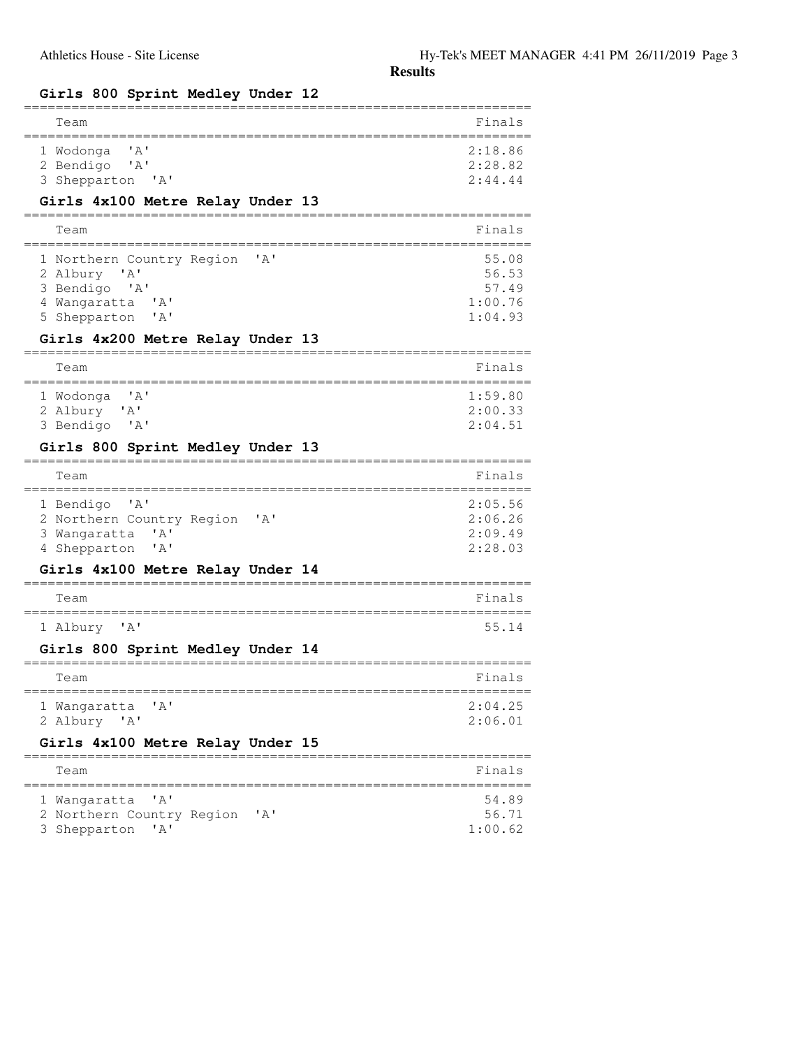# **Girls 800 Sprint Medley Under 12**

| Girls 800 Sprint Medley Under 12                                                                                                                                                    |                                               |
|-------------------------------------------------------------------------------------------------------------------------------------------------------------------------------------|-----------------------------------------------|
| Team                                                                                                                                                                                | Finals                                        |
| ' a '<br>1 Wodonga<br>2 Bendigo<br>A'<br>3 Shepparton 'A'                                                                                                                           | 2:18.86<br>2:28.82<br>2:44.44                 |
| Girls 4x100 Metre Relay Under 13                                                                                                                                                    |                                               |
| Team                                                                                                                                                                                | Finals                                        |
| $^{\prime}$ A $^{\prime}$<br>1 Northern Country Region<br>2 Albury 'A'<br>3 Bendigo 'A'<br>4 Wangaratta<br>$\mathsf{A}$<br>5 Shepparton<br>' A'<br>Girls 4x200 Metre Relay Under 13 | 55.08<br>56.53<br>57.49<br>1:00.76<br>1:04.93 |
|                                                                                                                                                                                     |                                               |
| Team                                                                                                                                                                                | Finals                                        |
| ' A'<br>1 Wodonga<br>2 Albury 'A'<br>3 Bendigo<br>$^{\prime}$ A $^{\prime}$                                                                                                         | 1:59.80<br>2:00.33<br>2:04.51                 |
| Girls 800 Sprint Medley Under 13                                                                                                                                                    |                                               |
| Team                                                                                                                                                                                | Finals                                        |
| $^{\prime}$ A $^{\prime}$<br>1 Bendigo<br>2 Northern Country Region<br>$\mathsf{A}$<br>'A'<br>3 Wangaratta<br>4 Shepparton<br>' A'                                                  | 2:05.56<br>2:06.26<br>2:09.49<br>2:28.03      |
| Girls 4x100 Metre Relay Under 14                                                                                                                                                    |                                               |
| Team                                                                                                                                                                                | Finals                                        |
| 1 Albury<br>$^{\prime}$ A $^{\prime}$                                                                                                                                               | 55.14                                         |
| Girls 800 Sprint Medley Under 14                                                                                                                                                    |                                               |
| Team                                                                                                                                                                                | Finals                                        |
| 1 Wangaratta<br>' A '<br>2 Albury 'A'                                                                                                                                               | 2:04.25<br>2:06.01                            |
| Girls 4x100 Metre Relay Under 15                                                                                                                                                    |                                               |
| Team                                                                                                                                                                                | Finals                                        |
| 1 Wangaratta<br>' A '<br>2 Northern Country Region<br>'A'<br>$^{\prime}$ A $^{\prime}$<br>3.<br>Shepparton                                                                          | 54.89<br>56.71<br>1:00.62                     |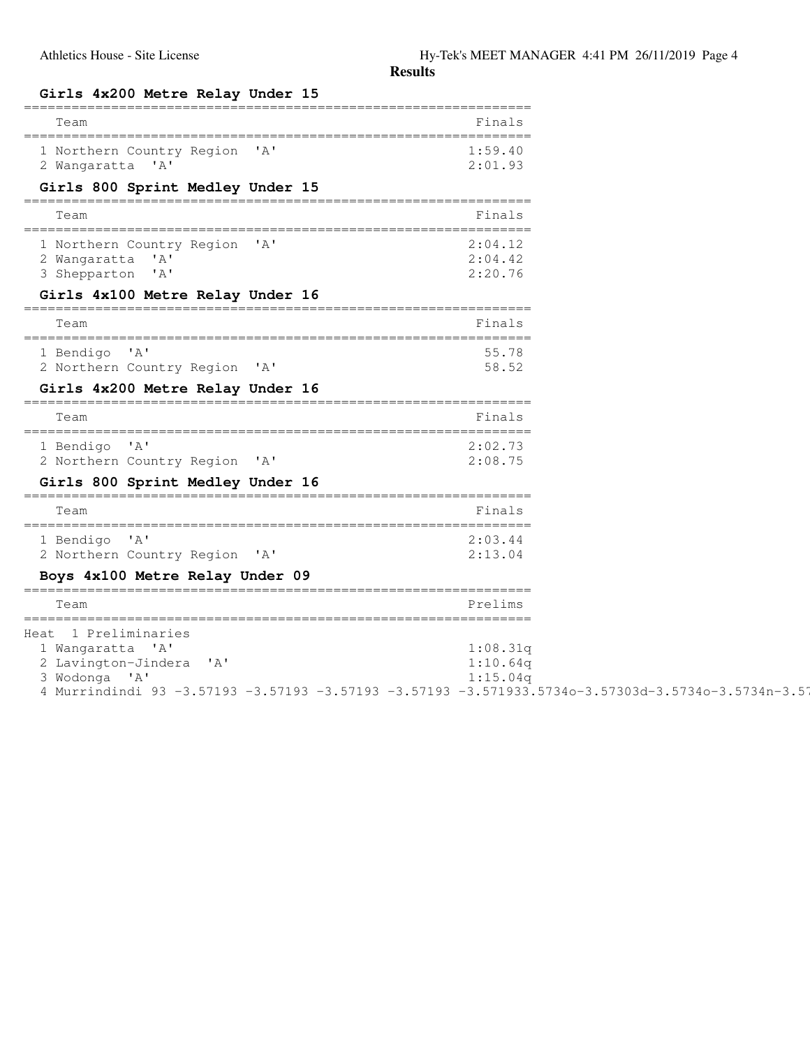| Girls 4x200 Metre Relay Under 15                                                                                                                                                          |                                  |
|-------------------------------------------------------------------------------------------------------------------------------------------------------------------------------------------|----------------------------------|
| Team                                                                                                                                                                                      | Finals                           |
| 1 Northern Country Region 'A'<br>2 Wangaratta 'A'                                                                                                                                         | 1:59.40<br>2:01.93               |
| Girls 800 Sprint Medley Under 15                                                                                                                                                          |                                  |
| Team                                                                                                                                                                                      | Finals                           |
| 1 Northern Country Region 'A'<br>2 Wangaratta 'A'<br>3 Shepparton 'A'                                                                                                                     | 2:04.12<br>2:04.42<br>2:20.76    |
| Girls 4x100 Metre Relay Under 16                                                                                                                                                          |                                  |
| Team                                                                                                                                                                                      | Finals                           |
| 1 Bendigo 'A'<br>2 Northern Country Region 'A'                                                                                                                                            | 55.78<br>58.52                   |
| Girls 4x200 Metre Relay Under 16                                                                                                                                                          |                                  |
| Team                                                                                                                                                                                      | Finals                           |
| 1 Bendigo 'A'<br>2 Northern Country Region 'A'                                                                                                                                            | 2:02.73<br>2:08.75               |
| Girls 800 Sprint Medley Under 16                                                                                                                                                          |                                  |
| Team                                                                                                                                                                                      | Finals                           |
| 1 Bendigo 'A'<br>2 Northern Country Region 'A'                                                                                                                                            | 2:03.44<br>2:13.04               |
| Boys 4x100 Metre Relay Under 09                                                                                                                                                           |                                  |
| Team                                                                                                                                                                                      | Prelims                          |
| Heat 1 Preliminaries<br>1 Wangaratta 'A'<br>2 Lavington-Jindera 'A'<br>3 Wodonga 'A'<br>4 Murrindindi 93 -3.57193 -3.57193 -3.57193 -3.57193 -3.571933.5734o-3.57303d-3.5734o-3.5734n-3.5 | 1:08.31q<br>1:10.64q<br>1:15.04q |

 $4n-3.5734g-3.5734a-3.57266$   $-3.5734$   $-3.5734$ ' $-3.5734A-3.5734$ ' $-3.5734$   $-3.5734$   $-3.5734$   $-3.5734$   $-3.5734$   $-3.5734$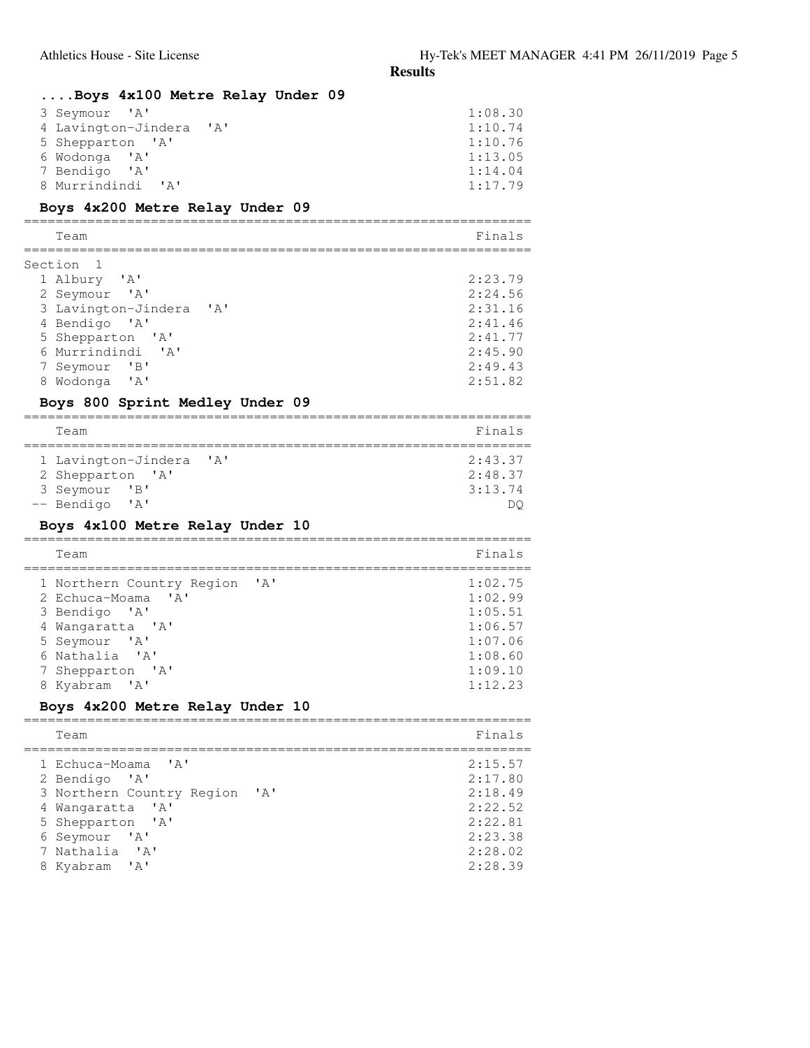| Athletics House - Site License                                                                                                                                                                                                                                                                     | Hy-Tek's MEET MAI<br><b>Results</b>                                                  |
|----------------------------------------------------------------------------------------------------------------------------------------------------------------------------------------------------------------------------------------------------------------------------------------------------|--------------------------------------------------------------------------------------|
| Boys 4x100 Metre Relay Under 09<br>' A'<br>3 Seymour<br>4 Lavington-Jindera<br>'A'<br>5 Shepparton 'A'<br>6 Wodonga 'A'<br>7 Bendigo<br>$^{\prime}$ A $^{\prime}$<br>8 Murrindindi<br>$^{\prime}$ A $^{\prime}$<br>Boys 4x200 Metre Relay Under 09                                                 | 1:08.30<br>1:10.74<br>1:10.76<br>1:13.05<br>1:14.04<br>1:17.79                       |
| Team                                                                                                                                                                                                                                                                                               | Finals                                                                               |
| Section<br>1 Albury<br>' A'<br>2 Seymour<br>$^{\prime}$ A $^{\prime}$<br>3 Lavington-Jindera<br>$^{\prime}$ A $^{\prime}$<br>4 Bendigo<br>A'<br>5 Shepparton<br>'A'<br>6 Murrindindi 'A'<br>7 Seymour<br>$\mathbf{B}$<br>8 Wodonga<br>$^{\prime}$ A $^{\prime}$<br>Boys 800 Sprint Medley Under 09 | 2:23.79<br>2:24.56<br>2:31.16<br>2:41.46<br>2:41.77<br>2:45.90<br>2:49.43<br>2:51.82 |
| Team                                                                                                                                                                                                                                                                                               | Finals                                                                               |
| 1 Lavington-Jindera<br>'A'<br>2 Shepparton<br>$\mathsf{A}$<br>3 Seymour<br>$\mathbf{B}$<br>-- Bendigo<br>$^{\prime}$ A $^{\prime}$                                                                                                                                                                 | 2:43.37<br>2:48.37<br>3:13.74<br>DQ                                                  |
| Boys 4x100 Metre Relay Under 10<br>Team                                                                                                                                                                                                                                                            | Finals                                                                               |
| ' A '<br>1 Northern Country Region<br>$\mathsf{I} \wedge \mathsf{I}$<br>2 Echuca-Moama<br>3 Bendigo 'A'<br>4 Wangaratta 'A'<br>'A'<br>5 Seymour<br>6 Nathalia<br>' A'<br>7 Shepparton<br>' A'<br>Kyabram<br>' A'                                                                                   | 1:02.75<br>1:02.99<br>1:05.51<br>1:06.57<br>1:07.06<br>1:08.60<br>1:09.10<br>1:12.23 |
| Boys 4x200 Metre Relay Under 10                                                                                                                                                                                                                                                                    |                                                                                      |
| Team                                                                                                                                                                                                                                                                                               | Finals                                                                               |
| Echuca-Moama<br>$'$ A $'$<br>2 Bendigo<br>$^{\prime}$ A $^{\prime}$<br>3 Northern Country Region<br>' A'<br>4 Wangaratta 'A'                                                                                                                                                                       | 2:15.57<br>2:17.80<br>2:18.49<br>2:22.52                                             |

 5 Shepparton 'A' 2:22.81 6 Seymour 'A' 2:23.38 7 Nathalia 'A' 2:28.02 8 Kyabram 'A' 2:28.39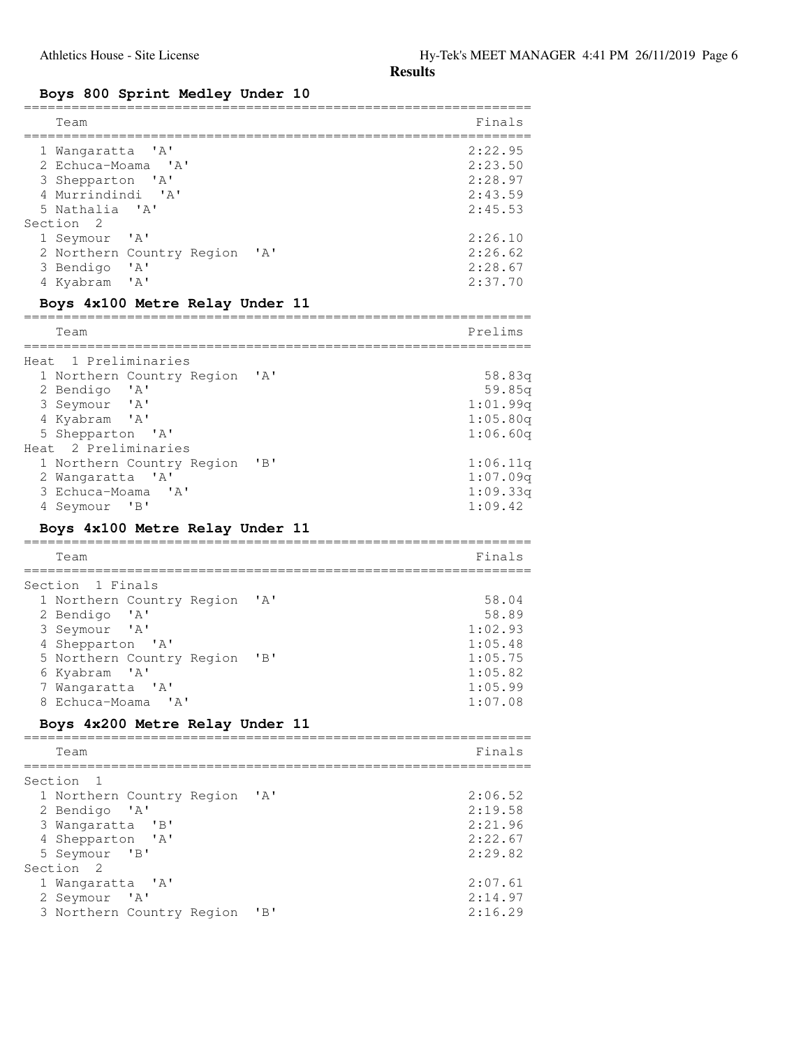#### **Boys 800 Sprint Medley Under 10**

| Team                                                                                                                                                                                                                                                                                                                                                                            | Finals                                                                                              |
|---------------------------------------------------------------------------------------------------------------------------------------------------------------------------------------------------------------------------------------------------------------------------------------------------------------------------------------------------------------------------------|-----------------------------------------------------------------------------------------------------|
| $'$ A $'$<br>1 Wangaratta<br>2 Echuca-Moama 'A'<br>3 Shepparton<br>'A'<br>4 Murrindindi 'A'<br>5 Nathalia<br>$\mathsf{A}$<br>Section<br>2<br>$^{\prime}$ A $^{\prime}$<br>1 Seymour<br>2 Northern Country Region 'A'<br>$^{\prime}$ A $^{\prime}$<br>3 Bendigo                                                                                                                  | 2:22.95<br>2:23.50<br>2:28.97<br>2:43.59<br>2:45.53<br>2:26.10<br>2:26.62<br>2:28.67                |
| ' A'<br>4 Kyabram                                                                                                                                                                                                                                                                                                                                                               | 2:37.70                                                                                             |
| Boys 4x100 Metre Relay Under 11                                                                                                                                                                                                                                                                                                                                                 |                                                                                                     |
| Team                                                                                                                                                                                                                                                                                                                                                                            | Prelims                                                                                             |
| Heat 1 Preliminaries<br>$\mathsf{A}$<br>1 Northern Country Region<br>2 Bendigo<br>$\mathsf{A}$<br>3 Seymour<br>$^{\prime}$ A $^{\prime}$<br>4 Kyabram<br>$^{\prime}$ A $^{\prime}$<br>5 Shepparton 'A'<br>Heat 2 Preliminaries<br>"B"<br>1 Northern Country Region<br>2 Wangaratta<br>$^{\prime}$ A $^{\prime}$<br>3 Echuca-Moama<br>$^{\prime}$ A $^{\prime}$<br>4 Seymour 'B' | 58.83q<br>59.85q<br>1:01.99q<br>1:05.80q<br>1:06.60q<br>1:06.11q<br>1:07.09q<br>1:09.33q<br>1:09.42 |
| Boys 4x100 Metre Relay Under 11                                                                                                                                                                                                                                                                                                                                                 |                                                                                                     |
| Team                                                                                                                                                                                                                                                                                                                                                                            | Finals                                                                                              |
| Section 1 Finals<br>1 Northern Country Region<br>' A'<br>2 Bendigo<br>$\mathsf{A}$<br>3 Seymour<br>$^{\prime}$ A $^{\prime}$<br>4 Shepparton 'A'<br>"B"<br>5 Northern Country Region<br>6 Kyabram<br>' A'<br>7 Wangaratta 'A'<br>8 Echuca-Moama<br>' A'                                                                                                                         | 58.04<br>58.89<br>1:02.93<br>1:05.48<br>1:05.75<br>1:05.82<br>1:05.99<br>1:07.08                    |
| Boys 4x200 Metre Relay Under 11                                                                                                                                                                                                                                                                                                                                                 |                                                                                                     |
| Team                                                                                                                                                                                                                                                                                                                                                                            | Finals                                                                                              |
| Section<br>1<br>' A'<br>1 Northern Country Region<br>2 Bendigo<br>' A'<br>3 Wangaratta<br>"B"<br>4 Shepparton<br>' A'<br>5 Seymour<br>"B"                                                                                                                                                                                                                                       | 2:06.52<br>2:19.58<br>2:21.96<br>2:22.67<br>2:29.82                                                 |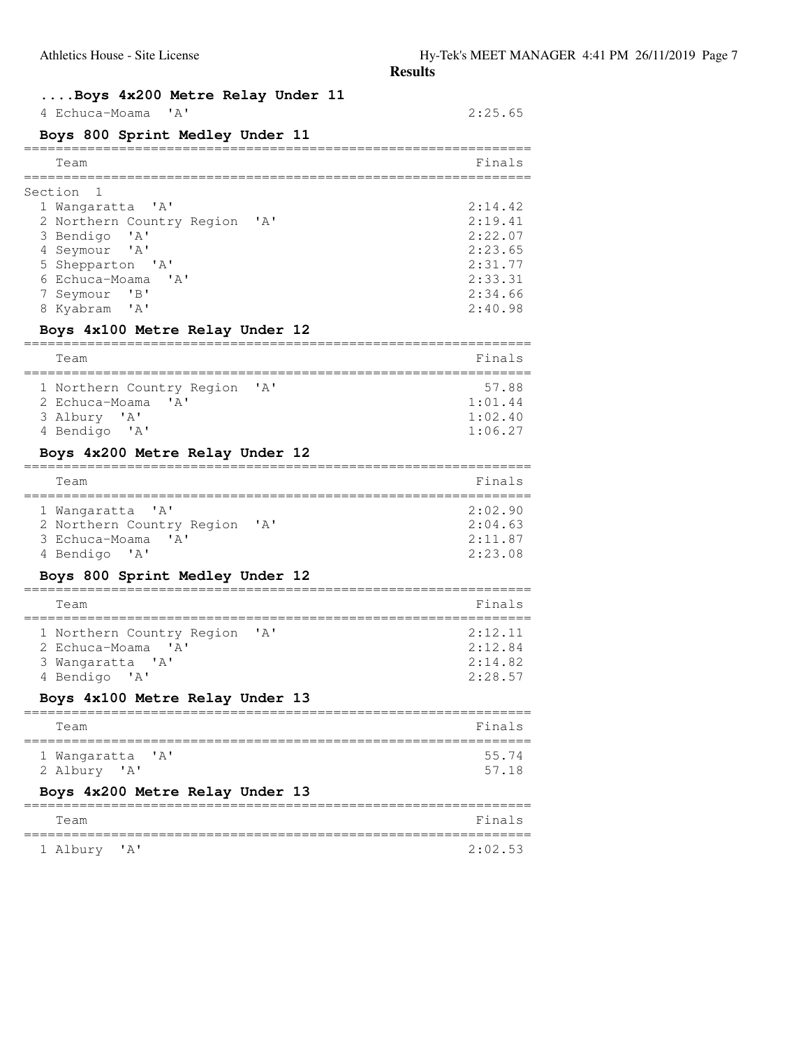## **....Boys 4x200 Metre Relay Under 11**

| 4 Echuca-Moama 'A'                                     | 2:25.65 |
|--------------------------------------------------------|---------|
| Boys 800 Sprint Medley Under 11                        |         |
| Team                                                   | Finals  |
| Section                                                |         |
| 1 Wangaratta<br>$^{\prime}$ A $^{\prime}$              | 2:14.42 |
| 2 Northern Country Region<br>$^{\prime}$ A $^{\prime}$ | 2:19.41 |
| 3 Bendigo<br>'A'                                       | 2:22.07 |
| 4 Seymour<br>$^{\prime}$ A $^{\prime}$                 | 2:23.65 |
| 5 Shepparton 'A'                                       | 2:31.77 |
| 6 Echuca-Moama<br>$^{\prime}$ A $^{\prime}$            | 2:33.31 |
| $\overline{B}$<br>7 Seymour                            | 2:34.66 |
| 8 Kyabram 'A'                                          | 2:40.98 |
| Boys 4x100 Metre Relay Under 12                        |         |
| Team                                                   | Finals  |
| ' A'<br>1 Northern Country Region                      | 57.88   |
| 2 Echuca-Moama<br>$^{\prime}$ A $^{\prime}$            | 1:01.44 |
| $^{\prime}$ A $^{\prime}$<br>3 Albury                  | 1:02.40 |
| 4 Bendigo 'A'                                          | 1:06.27 |
| Boys 4x200 Metre Relay Under 12                        |         |
| Team                                                   | Finals  |
| $^{\prime}$ A $^{\prime}$<br>1 Wangaratta              | 2:02.90 |
| 2 Northern Country Region<br>' A'                      | 2:04.63 |
| 3 Echuca-Moama<br>$^{\prime}$ A $^{\prime}$            | 2:11.87 |
| 4 Bendigo 'A'                                          | 2:23.08 |
| Boys 800 Sprint Medley Under 12                        |         |
| Team                                                   | Finals  |
| ' A'<br>1 Northern Country Region                      | 2:12.11 |
| 2 Echuca-Moama<br>' A '                                | 2:12.84 |
| 3 Wangaratta<br>$^{\prime}$ A $^{\prime}$              | 2:14.82 |
| 4 Bendigo 'A'                                          | 2:28.57 |
| Boys 4x100 Metre Relay Under 13                        |         |
| Team                                                   | Finals  |
| 1 Wangaratta<br>$'$ $\wedge'$                          | 55.74   |
| 2 Albury 'A'                                           | 57.18   |
| Boys 4x200 Metre Relay Under 13                        |         |
| Team                                                   | Finals  |
| 1 Albury<br>' A'                                       | 2:02.53 |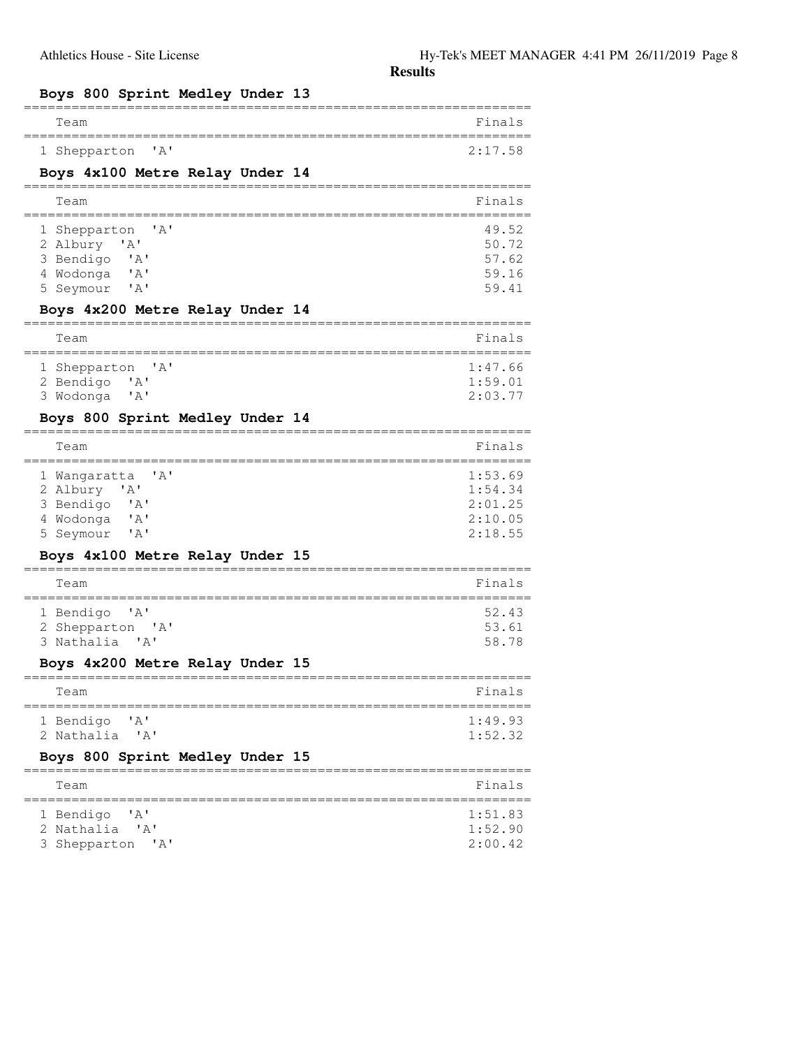# **Boys 800 Sprint Medley Under 13**

| Team                                                                                                                                                                | Finals                                              |
|---------------------------------------------------------------------------------------------------------------------------------------------------------------------|-----------------------------------------------------|
| $'$ A $'$<br>1 Shepparton                                                                                                                                           | 2:17.58                                             |
| Boys 4x100 Metre Relay Under 14                                                                                                                                     |                                                     |
| Team                                                                                                                                                                | Finals                                              |
| ' A'<br>1 Shepparton<br>2 Albury 'A'<br>3 Bendigo<br>$\mathsf{A}$<br>$^{\prime}$ A $^{\prime}$<br>4 Wodonga<br>5 Seymour<br>' A'<br>Boys 4x200 Metre Relay Under 14 | 49.52<br>50.72<br>57.62<br>59.16<br>59.41           |
| Team                                                                                                                                                                | Finals                                              |
| 1 Shepparton<br>$'$ A $'$<br>2 Bendigo<br>' A'<br>$^{\prime}$ A $^{\prime}$<br>3 Wodonga<br>Boys 800 Sprint Medley Under 14                                         | 1:47.66<br>1:59.01<br>2:03.77                       |
| Team                                                                                                                                                                | Finals                                              |
| ' A'<br>1 Wangaratta<br>2 Albury 'A'<br>3 Bendigo<br>$\mathsf{A}$<br>4 Wodonga<br>'A'<br>5 Seymour<br>'A'                                                           | 1:53.69<br>1:54.34<br>2:01.25<br>2:10.05<br>2:18.55 |
| Boys 4x100 Metre Relay Under 15                                                                                                                                     |                                                     |
| Team                                                                                                                                                                | Finals                                              |
| 1 Bendigo<br>' A'<br>2 Shepparton 'A'<br>3 Nathalia 'A'                                                                                                             | 52.43<br>53.61<br>58.78                             |
| Boys 4x200 Metre Relay Under 15                                                                                                                                     |                                                     |
| Team                                                                                                                                                                | Finals                                              |
| 1 Bendigo<br>' A'<br>2 Nathalia<br>' A'                                                                                                                             | 1:49.93<br>1:52.32                                  |
| Boys 800 Sprint Medley Under 15                                                                                                                                     |                                                     |
| Team                                                                                                                                                                | Finals                                              |
| ' A'<br>1 Bendigo<br>2 Nathalia<br>' A'<br>3 Shepparton<br>$^{\prime}$ A $^{\prime}$                                                                                | 1:51.83<br>1:52.90<br>2:00.42                       |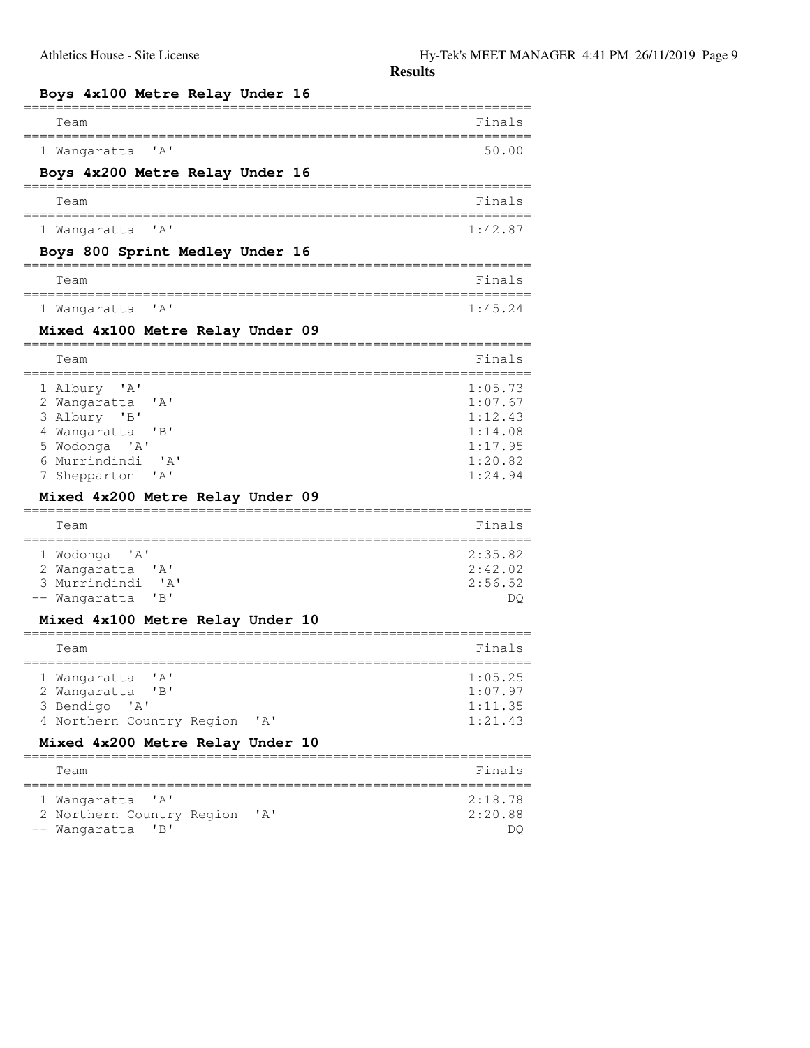| Boys 4x100 Metre Relay Under 16                                                                                                                                                                                          |                                                                                     |
|--------------------------------------------------------------------------------------------------------------------------------------------------------------------------------------------------------------------------|-------------------------------------------------------------------------------------|
| Team                                                                                                                                                                                                                     | Finals                                                                              |
| 1 Wangaratta<br>$'$ A $'$<br>Boys 4x200 Metre Relay Under 16                                                                                                                                                             | 50.00                                                                               |
| Team                                                                                                                                                                                                                     | Finals                                                                              |
| $'$ A $'$<br>1 Wangaratta                                                                                                                                                                                                | 1:42.87                                                                             |
| Boys 800 Sprint Medley Under 16                                                                                                                                                                                          |                                                                                     |
| Team                                                                                                                                                                                                                     | Finals                                                                              |
| ' A'<br>1 Wangaratta                                                                                                                                                                                                     | 1:45.24                                                                             |
| Mixed 4x100 Metre Relay Under 09                                                                                                                                                                                         |                                                                                     |
| Team                                                                                                                                                                                                                     | Finals                                                                              |
| 1 Albury<br>'A'<br>2 Wangaratta<br>$'$ A $'$<br>3 Albury 'B'<br>4 Wangaratta<br>"B"<br>5 Wodonga<br>$^{\prime}$ A $^{\prime}$<br>6 Murrindindi<br>' A'<br>' A'<br>Shepparton<br>Mixed 4x200 Metre Relay Under 09<br>Team | 1:05.73<br>1:07.67<br>1:12.43<br>1:14.08<br>1:17.95<br>1:20.82<br>1:24.94<br>Finals |
| 1 Wodonga<br>' A'<br>2 Wangaratta<br>' A'<br>3 Murrindindi<br>$^{\prime}$ A $^{\prime}$<br>"B"<br>Wangaratta                                                                                                             | 2:35.82<br>2:42.02<br>2:56.52<br>DQ                                                 |
| Mixed 4x100 Metre Relay Under 10                                                                                                                                                                                         |                                                                                     |
| Team                                                                                                                                                                                                                     | Finals                                                                              |
| $^{\prime}$ A $^{\prime}$<br>1 Wangaratta<br>2 Wangaratta<br>"B"<br>3 Bendigo<br>$\mathsf{A}$<br>$^{\prime}$ A $^{\prime}$<br>4 Northern Country Region                                                                  | 1:05.25<br>1:07.97<br>1:11.35<br>1:21.43                                            |
| Mixed 4x200 Metre Relay Under 10                                                                                                                                                                                         |                                                                                     |
| Team                                                                                                                                                                                                                     | Finals                                                                              |
| 1 Wanqaratta<br>$\mathsf{A}$<br>2 Northern Country Region<br>' A'<br>"B"<br>Wangaratta                                                                                                                                   | 2:18.78<br>2:20.88<br>DQ                                                            |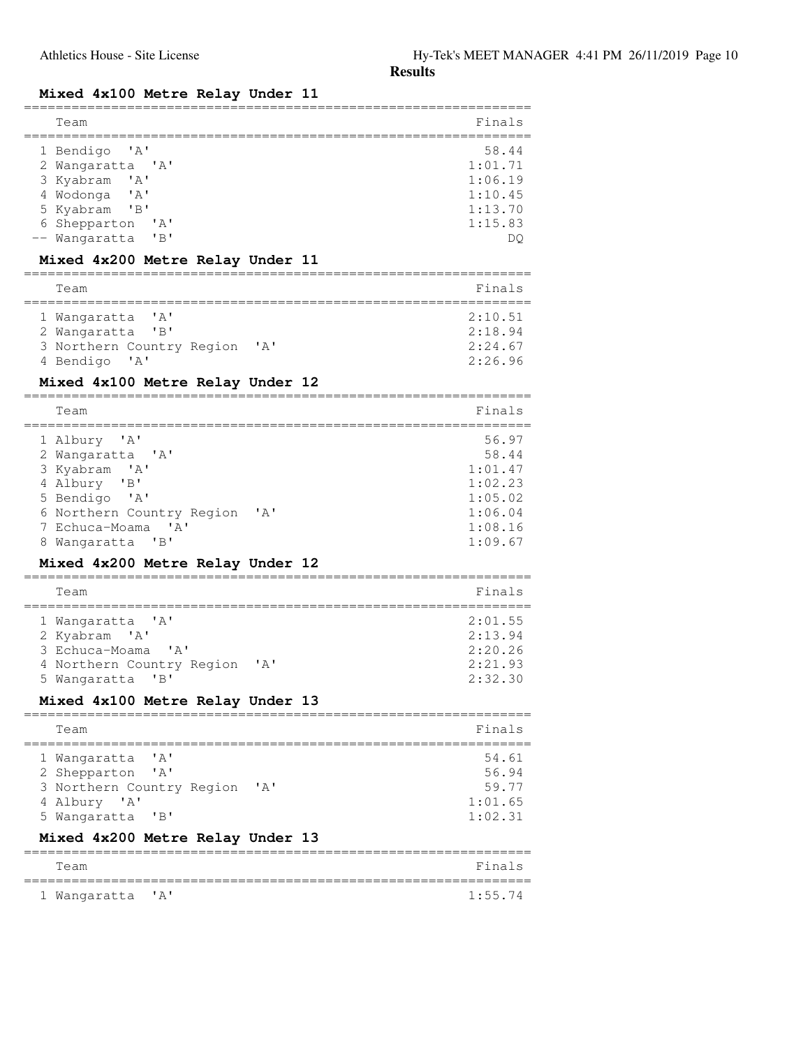# **Mixed 4x100 Metre Relay Under 11**

| Team                                                                                                                                                                                                                                                                                        | Finals                                                                           |
|---------------------------------------------------------------------------------------------------------------------------------------------------------------------------------------------------------------------------------------------------------------------------------------------|----------------------------------------------------------------------------------|
| 1 Bendigo<br>' A '<br>2 Wangaratta 'A'<br>3 Kyabram<br>$\mathsf{A}$<br>4 Wodonga<br>' A'<br>5 Kyabram<br>"B"<br>6 Shepparton<br>' A'<br>Wangaratta<br>"B"<br>Mixed 4x200 Metre Relay Under 11                                                                                               | 58.44<br>1:01.71<br>1:06.19<br>1:10.45<br>1:13.70<br>1:15.83<br>DQ               |
| Team                                                                                                                                                                                                                                                                                        | Finals                                                                           |
|                                                                                                                                                                                                                                                                                             |                                                                                  |
| ' A'<br>Wanqaratta<br>2 Wangaratta<br>"B"<br>3 Northern Country Region<br>$^{\prime}$ A $^{\prime}$<br>4 Bendigo<br>$^{\prime}$ A $^{\prime}$<br>Mixed 4x100 Metre Relay Under 12                                                                                                           | 2:10.51<br>2:18.94<br>2:24.67<br>2:26.96                                         |
| Team                                                                                                                                                                                                                                                                                        | Finals                                                                           |
|                                                                                                                                                                                                                                                                                             |                                                                                  |
| 1 Albury<br>$^{\prime}$ A $^{\prime}$<br>2 Wangaratta<br>$^{\prime}$ A $^{\prime}$<br>3 Kyabram<br>' A'<br>4 Albury 'B'<br>5 Bendigo<br>$^{\prime}$ A $^{\prime}$<br>6 Northern Country Region<br>' A'<br>' A'<br>7 Echuca-Moama<br>"B"<br>8 Wangaratta<br>Mixed 4x200 Metre Relay Under 12 | 56.97<br>58.44<br>1:01.47<br>1:02.23<br>1:05.02<br>1:06.04<br>1:08.16<br>1:09.67 |
| Team                                                                                                                                                                                                                                                                                        | Finals                                                                           |
| 1 Wangaratta<br>' A '<br>2 Kyabram 'A'<br>3 Echuca-Moama<br>' A'<br>' A'<br>4 Northern Country Region<br>$^{\prime}$ B $^{\prime}$<br>5 Wangaratta<br>Mixed 4x100 Metre Relay Under 13                                                                                                      | 2:01.55<br>2:13.94<br>2:20.26<br>2:21.93<br>2:32.30                              |
| Team                                                                                                                                                                                                                                                                                        | Finals                                                                           |
| 1 Wangaratta<br>$'$ A $'$<br>2 Shepparton<br>' A'<br>3 Northern Country Region<br>' A'<br>4 Albury 'A'<br>5 Wangaratta<br>"B"<br>Mixed 4x200 Metre Relay Under 13                                                                                                                           | 54.61<br>56.94<br>59.77<br>1:01.65<br>1:02.31                                    |
| Team                                                                                                                                                                                                                                                                                        | Finals                                                                           |
| ' A'<br>1 Wangaratta                                                                                                                                                                                                                                                                        | 1:55.74                                                                          |